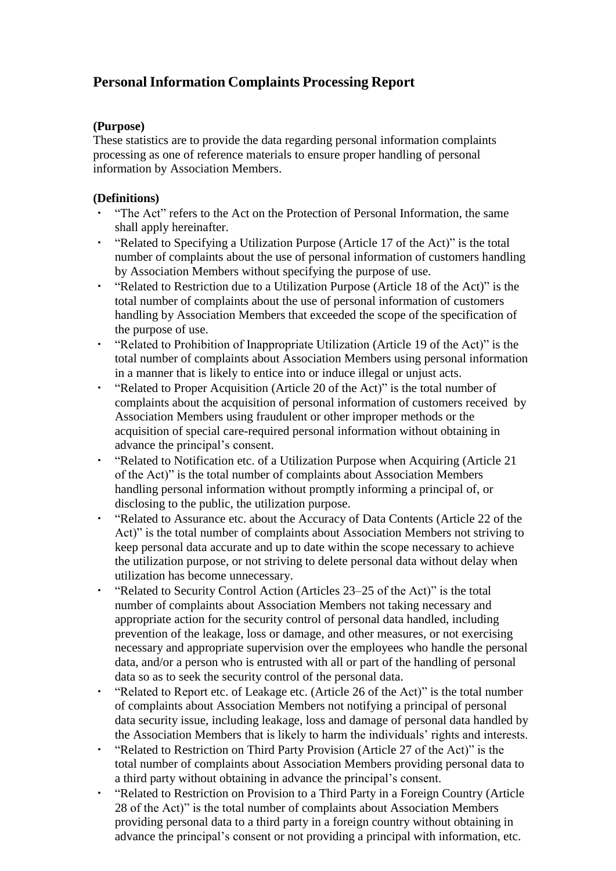# **PersonalInformation Complaints Processing Report**

### **(Purpose)**

These statistics are to provide the data regarding personal information complaints processing as one of reference materials to ensure proper handling of personal information by Association Members.

## **(Definitions)**

- ・ "The Act" refers to the Act on the Protection of Personal Information, the same shall apply hereinafter.
- "Related to Specifying a Utilization Purpose (Article 17 of the Act)" is the total number of complaints about the use of personal information of customers handling by Association Members without specifying the purpose of use.
- ・ "Related to Restriction due to a Utilization Purpose (Article 18 of the Act)" is the total number of complaints about the use of personal information of customers handling by Association Members that exceeded the scope of the specification of the purpose of use.
- "Related to Prohibition of Inappropriate Utilization (Article 19 of the Act)" is the total number of complaints about Association Members using personal information in a manner that is likely to entice into or induce illegal or unjust acts.
- ・ "Related to Proper Acquisition (Article 20 of the Act)" is the total number of complaints about the acquisition of personal information of customers received by Association Members using fraudulent or other improper methods or the acquisition of special care-required personal information without obtaining in advance the principal's consent.
- ・ "Related to Notification etc. of a Utilization Purpose when Acquiring (Article 21 of the Act)" is the total number of complaints about Association Members handling personal information without promptly informing a principal of, or disclosing to the public, the utilization purpose.
- ・ "Related to Assurance etc. about the Accuracy of Data Contents (Article 22 of the Act)" is the total number of complaints about Association Members not striving to keep personal data accurate and up to date within the scope necessary to achieve the utilization purpose, or not striving to delete personal data without delay when utilization has become unnecessary.
- "Related to Security Control Action (Articles 23–25 of the Act)" is the total number of complaints about Association Members not taking necessary and appropriate action for the security control of personal data handled, including prevention of the leakage, loss or damage, and other measures, or not exercising necessary and appropriate supervision over the employees who handle the personal data, and/or a person who is entrusted with all or part of the handling of personal data so as to seek the security control of the personal data.
- "Related to Report etc. of Leakage etc. (Article 26 of the Act)" is the total number of complaints about Association Members not notifying a principal of personal data security issue, including leakage, loss and damage of personal data handled by the Association Members that is likely to harm the individuals' rights and interests.
- "Related to Restriction on Third Party Provision (Article 27 of the Act)" is the total number of complaints about Association Members providing personal data to a third party without obtaining in advance the principal's consent.
- ・ "Related to Restriction on Provision to a Third Party in a Foreign Country (Article 28 of the Act)" is the total number of complaints about Association Members providing personal data to a third party in a foreign country without obtaining in advance the principal's consent or not providing a principal with information, etc.